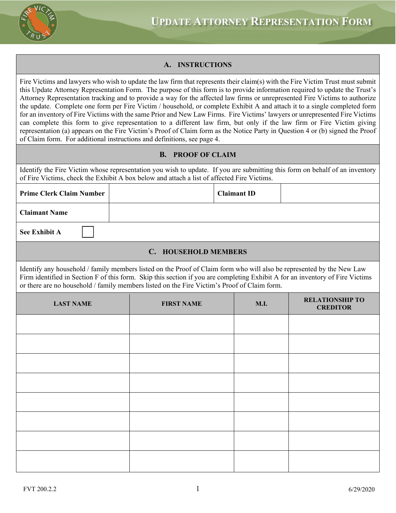

# **A. INSTRUCTIONS**

Fire Victims and lawyers who wish to update the law firm that represents their claim(s) with the Fire Victim Trust must submit this Update Attorney Representation Form. The purpose of this form is to provide information required to update the Trust's Attorney Representation tracking and to provide a way for the affected law firms or unrepresented Fire Victims to authorize the update. Complete one form per Fire Victim / household, or complete Exhibit A and attach it to a single completed form for an inventory of Fire Victims with the same Prior and New Law Firms. Fire Victims' lawyers or unrepresented Fire Victims can complete this form to give representation to a different law firm, but only if the law firm or Fire Victim giving representation (a) appears on the Fire Victim's Proof of Claim form as the Notice Party in Question 4 or (b) signed the Proof of Claim form. For additional instructions and definitions, see page 4.

## **B. PROOF OF CLAIM**

Identify the Fire Victim whose representation you wish to update. If you are submitting this form on behalf of an inventory of Fire Victims, check the Exhibit A box below and attach a list of affected Fire Victims.

| <b>Prime Clerk Claim Number</b> | <b>Claimant ID</b> |  |
|---------------------------------|--------------------|--|
| <b>Claimant Name</b>            |                    |  |
| <b>See Exhibit A</b>            |                    |  |

### **C. HOUSEHOLD MEMBERS**

Identify any household / family members listed on the Proof of Claim form who will also be represented by the New Law Firm identified in Section F of this form. Skip this section if you are completing Exhibit A for an inventory of Fire Victims or there are no household / family members listed on the Fire Victim's Proof of Claim form.

| <b>LAST NAME</b> | <b>FIRST NAME</b> | <b>M.I.</b> | <b>RELATIONSHIP TO</b><br><b>CREDITOR</b> |
|------------------|-------------------|-------------|-------------------------------------------|
|                  |                   |             |                                           |
|                  |                   |             |                                           |
|                  |                   |             |                                           |
|                  |                   |             |                                           |
|                  |                   |             |                                           |
|                  |                   |             |                                           |
|                  |                   |             |                                           |
|                  |                   |             |                                           |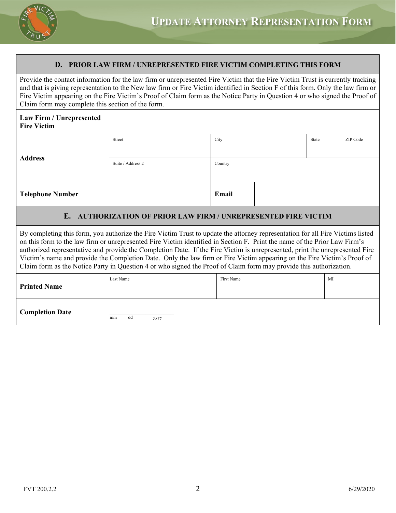

### **D. PRIOR LAW FIRM / UNREPRESENTED FIRE VICTIM COMPLETING THIS FORM**

Provide the contact information for the law firm or unrepresented Fire Victim that the Fire Victim Trust is currently tracking and that is giving representation to the New law firm or Fire Victim identified in Section F of this form. Only the law firm or Fire Victim appearing on the Fire Victim's Proof of Claim form as the Notice Party in Question 4 or who signed the Proof of Claim form may complete this section of the form.

| Law Firm / Unrepresented<br><b>Fire Victim</b> |                   |         |  |       |          |
|------------------------------------------------|-------------------|---------|--|-------|----------|
| <b>Address</b>                                 | Street            | City    |  | State | ZIP Code |
|                                                | Suite / Address 2 | Country |  |       |          |
| <b>Telephone Number</b>                        |                   | Email   |  |       |          |

#### **E. AUTHORIZATION OF PRIOR LAW FIRM / UNREPRESENTED FIRE VICTIM**

By completing this form, you authorize the Fire Victim Trust to update the attorney representation for all Fire Victims listed on this form to the law firm or unrepresented Fire Victim identified in Section F. Print the name of the Prior Law Firm's authorized representative and provide the Completion Date. If the Fire Victim is unrepresented, print the unrepresented Fire Victim's name and provide the Completion Date. Only the law firm or Fire Victim appearing on the Fire Victim's Proof of Claim form as the Notice Party in Question 4 or who signed the Proof of Claim form may provide this authorization.

| <b>Printed Name</b>    | Last Name        | First Name | MI |
|------------------------|------------------|------------|----|
| <b>Completion Date</b> | dd<br>mm<br>уууу |            |    |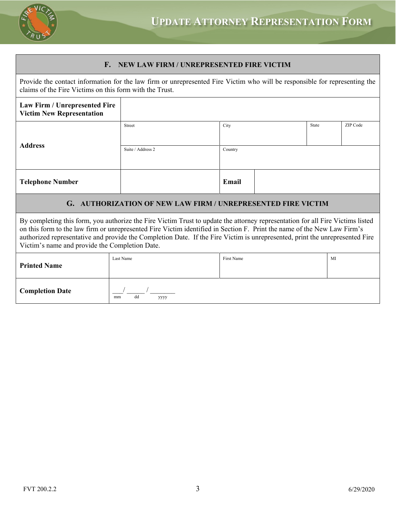

# **F. NEW LAW FIRM / UNREPRESENTED FIRE VICTIM**

Provide the contact information for the law firm or unrepresented Fire Victim who will be responsible for representing the claims of the Fire Victims on this form with the Trust.

| Law Firm / Unrepresented Fire<br><b>Victim New Representation</b> |                   |         |  |       |          |
|-------------------------------------------------------------------|-------------------|---------|--|-------|----------|
|                                                                   | Street            | City    |  | State | ZIP Code |
| <b>Address</b>                                                    |                   |         |  |       |          |
|                                                                   | Suite / Address 2 | Country |  |       |          |
|                                                                   |                   |         |  |       |          |
| <b>Telephone Number</b>                                           |                   | Email   |  |       |          |

# **G. AUTHORIZATION OF NEW LAW FIRM / UNREPRESENTED FIRE VICTIM**

By completing this form, you authorize the Fire Victim Trust to update the attorney representation for all Fire Victims listed on this form to the law firm or unrepresented Fire Victim identified in Section F. Print the name of the New Law Firm's authorized representative and provide the Completion Date. If the Fire Victim is unrepresented, print the unrepresented Fire Victim's name and provide the Completion Date.

| <b>Printed Name</b>    | Last Name        | First Name | MI |
|------------------------|------------------|------------|----|
| <b>Completion Date</b> | dd<br>уууу<br>mm |            |    |